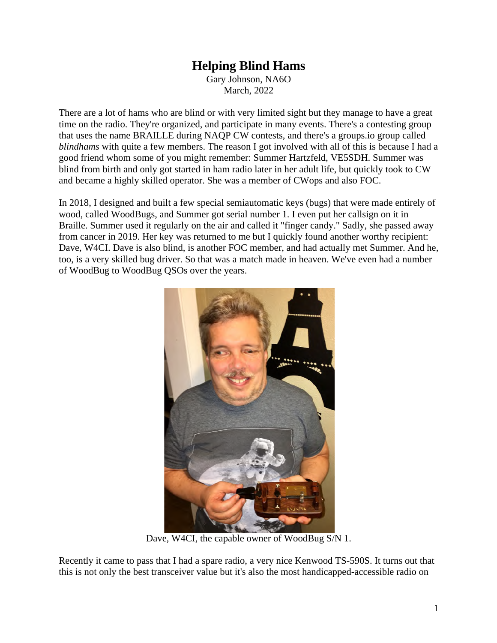## **Helping Blind Hams**

Gary Johnson, NA6O March, 2022

There are a lot of hams who are blind or with very limited sight but they manage to have a great time on the radio. They're organized, and participate in many events. There's a contesting group that uses the name BRAILLE during NAQP CW contests, and there's a groups.io group called *blindhams* with quite a few members. The reason I got involved with all of this is because I had a good friend whom some of you might remember: Summer Hartzfeld, VE5SDH. Summer was blind from birth and only got started in ham radio later in her adult life, but quickly took to CW and became a highly skilled operator. She was a member of CWops and also FOC.

In 2018, I designed and built a few special semiautomatic keys (bugs) that were made entirely of wood, called WoodBugs, and Summer got serial number 1. I even put her callsign on it in Braille. Summer used it regularly on the air and called it "finger candy." Sadly, she passed away from cancer in 2019. Her key was returned to me but I quickly found another worthy recipient: Dave, W4CI. Dave is also blind, is another FOC member, and had actually met Summer. And he, too, is a very skilled bug driver. So that was a match made in heaven. We've even had a number of WoodBug to WoodBug QSOs over the years.



Dave, W4CI, the capable owner of WoodBug S/N 1.

Recently it came to pass that I had a spare radio, a very nice Kenwood TS-590S. It turns out that this is not only the best transceiver value but it's also the most handicapped-accessible radio on